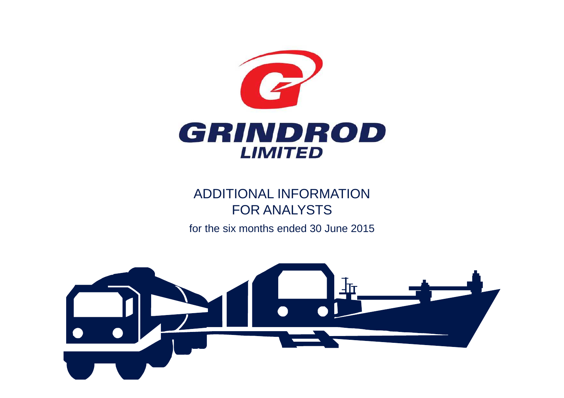

# ADDITIONAL INFORMATION FOR ANALYSTS

for the six months ended 30 June 2015

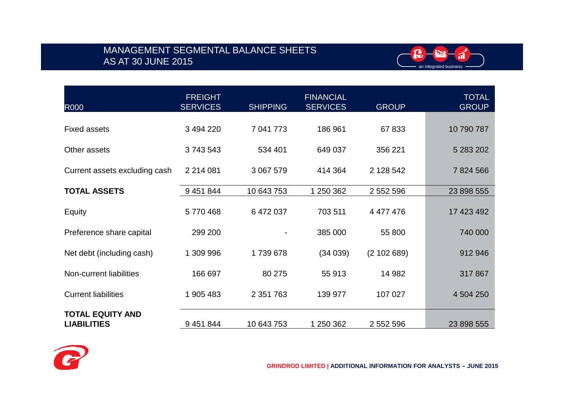## MANAGEMENT SEGMENTAL BALANCE SHEETS AS AT 30 JUNE 2015



| <b>R000</b>                                   | <b>FREIGHT</b><br><b>SERVICES</b> | <b>SHIPPING</b> | <b>FINANCIAL</b><br><b>SERVICES</b> | <b>GROUP</b> | <b>TOTAL</b><br><b>GROUP</b> |
|-----------------------------------------------|-----------------------------------|-----------------|-------------------------------------|--------------|------------------------------|
| <b>Fixed assets</b>                           | 3 494 220                         | 7 041 773       | 186 961                             | 67833        | 10 790 787                   |
| Other assets                                  | 3743543                           | 534 401         | 649 037                             | 356 221      | 5 283 202                    |
| Current assets excluding cash                 | 2 2 1 4 0 8 1                     | 3 067 579       | 414 364                             | 2 128 542    | 7824566                      |
| <b>TOTAL ASSETS</b>                           | 9 451 844                         | 10 643 753      | 1 250 362                           | 2 552 596    | 23 898 555                   |
| Equity                                        | 5770468                           | 6 472 037       | 703 511                             | 4 477 476    | 17 423 492                   |
| Preference share capital                      | 299 200                           |                 | 385 000                             | 55 800       | 740 000                      |
| Net debt (including cash)                     | 1 309 996                         | 1739678         | (34039)                             | (2102689)    | 912 946                      |
| Non-current liabilities                       | 166 697                           | 80 275          | 55 913                              | 14 982       | 317 867                      |
| <b>Current liabilities</b>                    | 1 905 483                         | 2 3 5 1 7 6 3   | 139 977                             | 107 027      | 4 504 250                    |
| <b>TOTAL EQUITY AND</b><br><b>LIABILITIES</b> | 9 451 844                         | 10 643 753      | 1 250 362                           | 2 552 596    | 23 898 555                   |

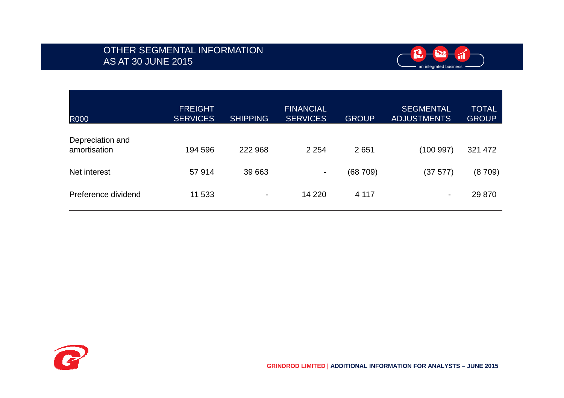## OTHER SEGMENTAL INFORMATIONAS AT 30 JUNE 2015



| <b>R000</b>                      | <b>FREIGHT</b><br><b>SERVICES</b> | <b>SHIPPING</b> | <b>FINANCIAL</b><br><b>SERVICES</b> | <b>GROUP</b> | <b>SEGMENTAL</b><br><b>ADJUSTMENTS</b> | <b>TOTAL</b><br><b>GROUP</b> |
|----------------------------------|-----------------------------------|-----------------|-------------------------------------|--------------|----------------------------------------|------------------------------|
| Depreciation and<br>amortisation | 194 596                           | 222 968         | 2 2 5 4                             | 2651         | (100 997)                              | 321 472                      |
| Net interest                     | 57914                             | 39 663          | ٠                                   | (68709)      | (37 577)                               | (8709)                       |
| Preference dividend              | 11 533                            | ۰               | 14 2 20                             | 4 117        | -                                      | 29 870                       |

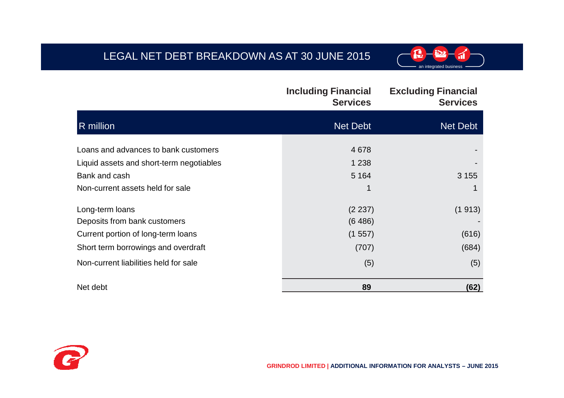# LEGAL NET DEBT BREAKDOWN AS AT 30 JUNE 2015



|                                          | <b>Including Financial</b><br><b>Services</b> | <b>Excluding Financial</b><br><b>Services</b> |
|------------------------------------------|-----------------------------------------------|-----------------------------------------------|
| R million                                | <b>Net Debt</b>                               | Net Debt                                      |
| Loans and advances to bank customers     | 4678                                          |                                               |
| Liquid assets and short-term negotiables | 1 2 3 8                                       |                                               |
| Bank and cash                            | 5 1 6 4                                       | 3 1 5 5                                       |
| Non-current assets held for sale         |                                               |                                               |
| Long-term loans                          | (2 237)                                       | (1913)                                        |
| Deposits from bank customers             | (6486)                                        |                                               |
| Current portion of long-term loans       | (1557)                                        | (616)                                         |
| Short term borrowings and overdraft      | (707)                                         | (684)                                         |
| Non-current liabilities held for sale    | (5)                                           | (5)                                           |
| Net debt                                 | 89                                            | (62)                                          |

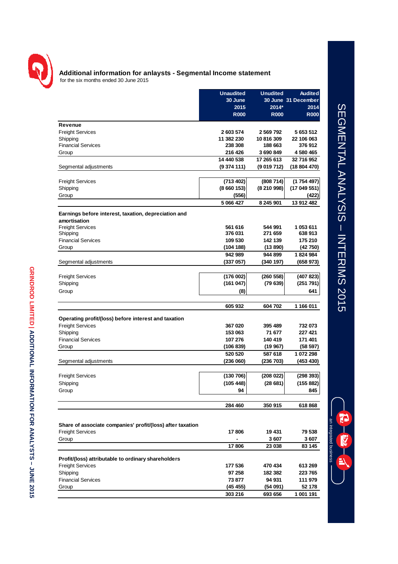

#### **Additional information for anlaysts - Segmental Income statement** for the six months ended 30 June 2015

|                                                            | <b>Unaudited</b> | <b>Unudited</b> | <b>Audited</b>      |
|------------------------------------------------------------|------------------|-----------------|---------------------|
|                                                            | 30 June          |                 | 30 June 31 December |
|                                                            | 2015             | 2014*           | 2014                |
|                                                            | <b>R000</b>      | <b>R000</b>     | <b>R000</b>         |
|                                                            |                  |                 |                     |
| Revenue                                                    |                  |                 |                     |
| <b>Freight Services</b>                                    | 2 603 574        | 2 569 792       | 5 653 512           |
| Shipping                                                   | 11 382 230       | 10816309        | 22 106 063          |
| <b>Financial Services</b>                                  | 238 308          | 188 663         | 376912              |
| Group                                                      | 216 426          | 3690849         | 4 580 465           |
|                                                            | 14 440 538       | 17 265 613      | 32 716 952          |
| Segmental adjustments                                      | (9374111)        | (9019712)       | (18 804 470)        |
|                                                            |                  |                 |                     |
| <b>Freight Services</b>                                    | (713 402)        | (808714)        | (1754497)           |
| Shipping                                                   | (8660153)        | (8210998)       | (17 049 551)        |
| Group                                                      | (556)            |                 | (422)               |
|                                                            | 5 066 427        | 8 245 901       | 13 912 482          |
|                                                            |                  |                 |                     |
| Earnings before interest, taxation, depreciation and       |                  |                 |                     |
| amortisation                                               | 561 616          | 544 991         | 1 053 611           |
| <b>Freight Services</b>                                    | 376 031          | 271 659         | 638913              |
| Shipping                                                   | 109 530          |                 |                     |
| <b>Financial Services</b>                                  |                  | 142 139         | 175 210             |
| Group                                                      | (104 188)        | (13 890)        | (42 750)            |
|                                                            | 942 989          | 944 899         | 1824984             |
| Segmental adjustments                                      | (337 057)        | (340 197)       | (658 973)           |
|                                                            |                  |                 |                     |
| <b>Freight Services</b>                                    | (176002)         | (260 558)       | (407 823)           |
| Shipping                                                   | (161047)         | (79639)         | (251 791)           |
| Group                                                      | (8)              |                 | 641                 |
|                                                            |                  |                 |                     |
|                                                            | 605 932          | 604 702         | 1 166 011           |
| Operating profit/(loss) before interest and taxation       |                  |                 |                     |
| <b>Freight Services</b>                                    | 367 020          | 395 489         | 732 073             |
|                                                            | 153 063          | 71 677          | 227 421             |
| Shipping                                                   |                  |                 |                     |
| <b>Financial Services</b>                                  | 107 276          | 140 419         | 171 401             |
| Group                                                      | (106 839)        | (19 967)        | (58 597)            |
|                                                            | 520 520          | 587 618         | 1 072 298           |
| Segmental adjustments                                      | (236060)         | (236 703)       | (453 430)           |
|                                                            |                  |                 |                     |
| <b>Freight Services</b>                                    | (130706)         | (208022)        | (298 393)           |
| Shipping                                                   | (105 448)        | (28681)         | (155 882)           |
| Group                                                      | 94               |                 | 845                 |
|                                                            |                  |                 |                     |
|                                                            | 284 460          | 350 915         | 618 868             |
|                                                            |                  |                 |                     |
|                                                            |                  |                 |                     |
| Share of associate companies' profit/(loss) after taxation |                  |                 |                     |
| <b>Freight Services</b>                                    | 17806            | 19 431          | 79 538              |
| Group                                                      |                  | 3607            | 3607                |
|                                                            | 17806            | 23 038          | 83 145              |
|                                                            |                  |                 |                     |
| Profit/(loss) attributable to ordinary shareholders        |                  |                 |                     |
| <b>Freight Services</b>                                    | 177 536          | 470 434         | 613 269             |
| Shipping                                                   | 97 258           | 182 382         | 223 765             |
| <b>Financial Services</b>                                  | 73 877           | 94 931          | 111 979             |
| Group                                                      | (45 455)         | (54091)         | 52 178              |
|                                                            | 303 216          | 693 656         | 1 001 191           |

# SEGMENTAL ANALYSIS - INTERIMS 2015 SEGMENTAL ANALYSIS –INTERIMS 2015

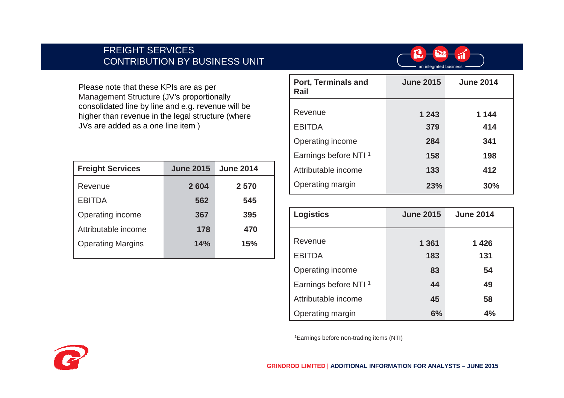## FREIGHT SERVICESCONTRIBUTION BY BUSINESS UNIT



Please note that these KPIs are as per Management Structure (JV's proportionally consolidated line by line and e.g. revenue will be higher than revenue in the legal structure (where JVs are added as a one line item )

| <b>Freight Services</b>  | <b>June 2015</b> | <b>June 2014</b> |
|--------------------------|------------------|------------------|
| Revenue                  | 2604             | 2570             |
| <b>EBITDA</b>            | 562              | 545              |
| Operating income         | 367              | 395              |
| Attributable income      | 178              | 470              |
| <b>Operating Margins</b> | 14%              | 15%              |
|                          |                  |                  |

| <b>Port, Terminals and</b><br>Rail | <b>June 2015</b> | <b>June 2014</b> |
|------------------------------------|------------------|------------------|
|                                    |                  |                  |
| Revenue                            | 1 2 4 3          | 1 144            |
| <b>EBITDA</b>                      | 379              | 414              |
| Operating income                   | 284              | 341              |
| Earnings before NTI <sup>1</sup>   | 158              | 198              |
| Attributable income                | 133              | 412              |
| Operating margin                   | 23%              | 30%              |

| <b>Logistics</b>                 | <b>June 2015</b> | <b>June 2014</b> |  |
|----------------------------------|------------------|------------------|--|
| Revenue                          | 1 3 6 1          | 1426             |  |
| <b>EBITDA</b>                    | 183              | 131              |  |
| Operating income                 | 83               | 54               |  |
| Earnings before NTI <sup>1</sup> | 44               | 49               |  |
| Attributable income              | 45               | 58               |  |
| Operating margin                 | 6%               | 4%               |  |

1Earnings before non-trading items (NTI)

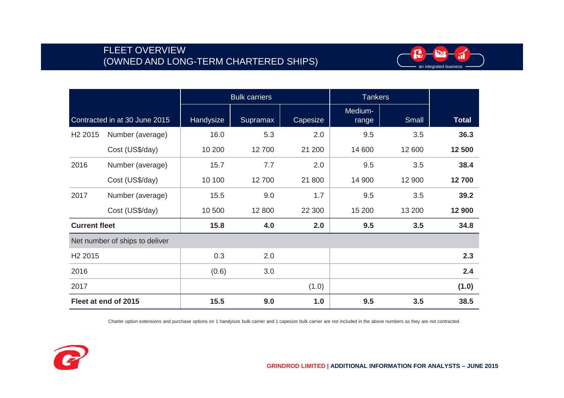## FLEET OVERVIEW (OWNED AND LONG-TERM CHARTERED SHIPS)



|                      |                                | <b>Bulk carriers</b><br><b>Tankers</b> |          |          |                  |        |              |
|----------------------|--------------------------------|----------------------------------------|----------|----------|------------------|--------|--------------|
|                      | Contracted in at 30 June 2015  | Handysize                              | Supramax | Capesize | Medium-<br>range | Small  | <b>Total</b> |
| H <sub>2</sub> 2015  | Number (average)               | 16.0                                   | 5.3      | 2.0      | 9.5              | 3.5    | 36.3         |
|                      | Cost (US\$/day)                | 10 200                                 | 12700    | 21 200   | 14 600           | 12 600 | 12 500       |
| 2016                 | Number (average)               | 15.7                                   | 7.7      | 2.0      | 9.5              | 3.5    | 38.4         |
|                      | Cost (US\$/day)                | 10 100                                 | 12700    | 21 800   | 14 900           | 12 900 | 12700        |
| 2017                 | Number (average)               | 15.5                                   | 9.0      | 1.7      | 9.5              | 3.5    | 39.2         |
|                      | Cost (US\$/day)                | 10 500                                 | 12 800   | 22 300   | 15 200           | 13 200 | 12 900       |
| <b>Current fleet</b> |                                | 15.8                                   | 4.0      | 2.0      | 9.5              | 3.5    | 34.8         |
|                      | Net number of ships to deliver |                                        |          |          |                  |        |              |
| H <sub>2</sub> 2015  |                                | 0.3                                    | 2.0      |          |                  |        | 2.3          |
| 2016                 |                                | (0.6)                                  | 3.0      |          |                  |        | 2.4          |
| 2017                 |                                |                                        |          | (1.0)    |                  |        | (1.0)        |
|                      | Fleet at end of 2015           | 15.5                                   | 9.0      | 1.0      | 9.5              | 3.5    | 38.5         |

Charter option extensions and purchase options on 1 handysize bulk carrier and 1 capesize bulk carrier are not included in the above numbers as they are not contracted.

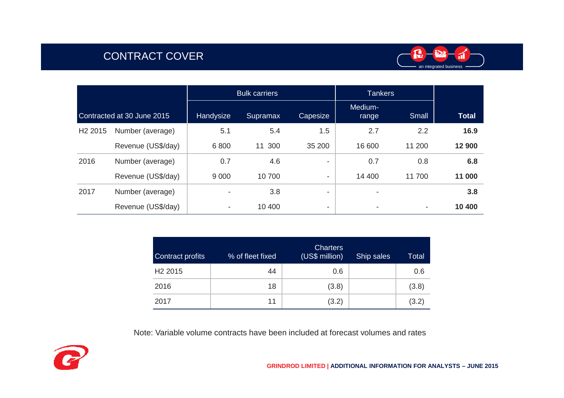## CONTRACT COVER



|                            |                    | <b>Bulk carriers</b>     |           |          | <b>Tankers</b>           |        |              |
|----------------------------|--------------------|--------------------------|-----------|----------|--------------------------|--------|--------------|
| Contracted at 30 June 2015 |                    | Handysize                | Supramax  | Capesize | Medium-<br>range         | Small  | <b>Total</b> |
| H <sub>2</sub> 2015        | Number (average)   | 5.1                      | 5.4       | 1.5      | 2.7                      | 2.2    | 16.9         |
|                            | Revenue (US\$/day) | 6800                     | 300<br>11 | 35 200   | 16 600                   | 11 200 | 12 900       |
| 2016                       | Number (average)   | 0.7                      | 4.6       | ۰        | 0.7                      | 0.8    | 6.8          |
|                            | Revenue (US\$/day) | 9 0 0 0                  | 10700     | ٠        | 14 400                   | 11700  | 11 000       |
| 2017                       | Number (average)   | $\overline{\phantom{a}}$ | 3.8       | ٠        | -                        |        | 3.8          |
|                            | Revenue (US\$/day) | $\overline{\phantom{a}}$ | 10 400    | ۰        | $\overline{\phantom{a}}$ | ۰      | 10 400       |

| <b>Contract profits</b> | % of fleet fixed | <b>Charters</b><br>(US\$ million) | Ship sales | <b>Total</b> |
|-------------------------|------------------|-----------------------------------|------------|--------------|
| H <sub>2</sub> 2015     | 44               | 0.6                               |            | 0.6          |
| 2016                    | 18               | (3.8)                             |            | (3.8)        |
| 2017                    | 11               | (3.2)                             |            | (3.2)        |

Note: Variable volume contracts have been included at forecast volumes and rates

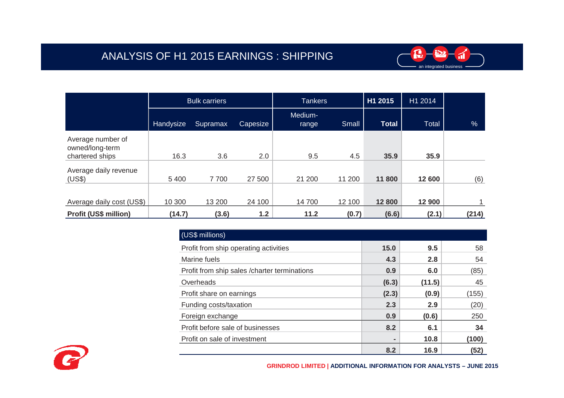

|                                                         | <b>Bulk carriers</b> |          |          | <b>Tankers</b>   |        | H1 2015      | H1 2014 |               |
|---------------------------------------------------------|----------------------|----------|----------|------------------|--------|--------------|---------|---------------|
|                                                         | Handysize            | Supramax | Capesize | Medium-<br>range | Small  | <b>Total</b> | Total   | $\frac{9}{6}$ |
| Average number of<br>owned/long-term<br>chartered ships | 16.3                 | 3.6      | 2.0      | 9.5              | 4.5    | 35.9         | 35.9    |               |
| Average daily revenue<br>(US\$)                         | 5 4 0 0              | 7700     | 27 500   | 21 200           | 11 200 | 11 800       | 12 600  | (6)           |
| Average daily cost (US\$)                               | 10 300               | 13 200   | 24 100   | 14700            | 12 100 | 12 800       | 12 900  |               |
| <b>Profit (US\$ million)</b>                            | (14.7)               | (3.6)    | 1.2      | 11.2             | (0.7)  | (6.6)        | (2.1)   | (214)         |

| (US\$ millions)                               |       |        |       |
|-----------------------------------------------|-------|--------|-------|
| Profit from ship operating activities         | 15.0  | 9.5    | 58    |
| Marine fuels                                  | 4.3   | 2.8    | 54    |
| Profit from ship sales / charter terminations | 0.9   | 6.0    | (85)  |
| Overheads                                     | (6.3) | (11.5) | 45    |
| Profit share on earnings                      | (2.3) | (0.9)  | (155) |
| Funding costs/taxation                        | 2.3   | 2.9    | (20)  |
| Foreign exchange                              | 0.9   | (0.6)  | 250   |
| Profit before sale of businesses              | 8.2   | 6.1    | 34    |
| Profit on sale of investment                  | ۰     | 10.8   | (100) |
|                                               | 8.2   | 16.9   | (52)  |